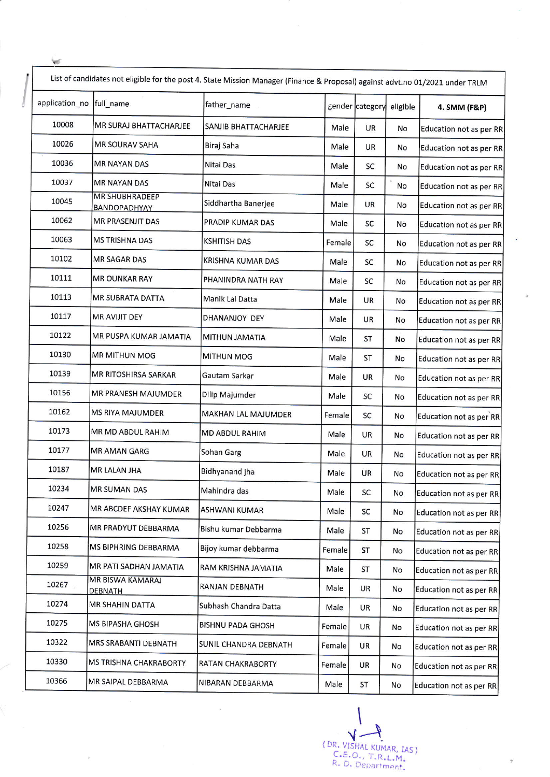|                           | List of candidates not eligible for the post 4. State Mission Manager (Finance & Proposal) against advt.no 01/2021 under TRLM |                          |        |                 |          |                         |  |  |
|---------------------------|-------------------------------------------------------------------------------------------------------------------------------|--------------------------|--------|-----------------|----------|-------------------------|--|--|
| application_no  full_name |                                                                                                                               | father_name              |        | gender category | eligible | 4. SMM (F&P)            |  |  |
| 10008                     | MR SURAJ BHATTACHARJEE                                                                                                        | SANJIB BHATTACHARJEE     | Male   | <b>UR</b>       | No       | Education not as per RR |  |  |
| 10026                     | <b>MR SOURAV SAHA</b>                                                                                                         | Biraj Saha               | Male   | UR              | No       | Education not as per RR |  |  |
| 10036                     | <b>MR NAYAN DAS</b>                                                                                                           | Nitai Das                | Male   | SC              | No       | Education not as per RR |  |  |
| 10037                     | <b>MR NAYAN DAS</b>                                                                                                           | Nitai Das                | Male   | SC              | No       | Education not as per RR |  |  |
| 10045                     | <b>MR SHUBHRADEEP</b><br>BANDOPADHYAY                                                                                         | Siddhartha Banerjee      | Male   | UR              | No       | Education not as per RR |  |  |
| 10062                     | MR PRASENJIT DAS                                                                                                              | PRADIP KUMAR DAS         | Male   | SC              | No       | Education not as per RR |  |  |
| 10063                     | MS TRISHNA DAS                                                                                                                | <b>KSHITISH DAS</b>      | Female | SC              | No       | Education not as per RR |  |  |
| 10102                     | MR SAGAR DAS                                                                                                                  | KRISHNA KUMAR DAS        | Male   | SC              | No       | Education not as per RR |  |  |
| 10111                     | <b>MR OUNKAR RAY</b>                                                                                                          | PHANINDRA NATH RAY       | Male   | SC              | No       | Education not as per RR |  |  |
| 10113                     | MR SUBRATA DATTA                                                                                                              | Manik Lal Datta          | Male   | <b>UR</b>       | No       | Education not as per RR |  |  |
| 10117                     | <b>MR AVIJIT DEY</b>                                                                                                          | DHANANJOY DEY            | Male   | <b>UR</b>       | No       | Education not as per RR |  |  |
| 10122                     | MR PUSPA KUMAR JAMATIA                                                                                                        | MITHUN JAMATIA           | Male   | ST              | No       | Education not as per RR |  |  |
| 10130                     | <b>MR MITHUN MOG</b>                                                                                                          | MITHUN MOG               | Male   | ST              | No       | Education not as per RR |  |  |
| 10139                     | MR RITOSHIRSA SARKAR                                                                                                          | Gautam Sarkar            | Male   | <b>UR</b>       | No       | Education not as per RR |  |  |
| 10156                     | MR PRANESH MAJUMDER                                                                                                           | Dilip Majumder           | Male   | SC              | No       | Education not as per RR |  |  |
| 10162                     | <b>MS RIYA MAJUMDER</b>                                                                                                       | MAKHAN LAL MAJUMDER      | Female | SC              | No       | Education not as per RR |  |  |
| 10173                     | MR MD ABDUL RAHIM                                                                                                             | MD ABDUL RAHIM           | Male   | <b>UR</b>       | No       | Education not as per RR |  |  |
| 10177                     | MR AMAN GARG                                                                                                                  | Sohan Garg               | Male   | UR              | No       | Education not as per RR |  |  |
| 10187                     | <b>MR LALAN JHA</b>                                                                                                           | Bidhyanand jha           | Male   | UR              | No       | Education not as per RR |  |  |
| 10234                     | <b>MR SUMAN DAS</b>                                                                                                           | Mahindra das             | Male   | <b>SC</b>       | No       | Education not as per RR |  |  |
| 10247                     | MR ABCDEF AKSHAY KUMAR                                                                                                        | ASHWANI KUMAR            | Male   | SC              | No       | Education not as per RR |  |  |
| 10256                     | MR PRADYUT DEBBARMA                                                                                                           | Bishu kumar Debbarma     | Male   | <b>ST</b>       | No       | Education not as per RR |  |  |
| 10258                     | MS BIPHRING DEBBARMA                                                                                                          | Bijoy kumar debbarma     | Female | <b>ST</b>       | No       | Education not as per RR |  |  |
| 10259                     | MR PATI SADHAN JAMATIA                                                                                                        | RAM KRISHNA JAMATIA      | Male   | <b>ST</b>       | No       | Education not as per RR |  |  |
| 10267                     | MR BISWA KAMARAJ<br>DEBNATH                                                                                                   | RANJAN DEBNATH           | Male   | UR              | No       | Education not as per RR |  |  |
| 10274                     | MR SHAHIN DATTA                                                                                                               | Subhash Chandra Datta    | Male   | UR              | No       | Education not as per RR |  |  |
| 10275                     | <b>MS BIPASHA GHOSH</b>                                                                                                       | BISHNU PADA GHOSH        | Female | UR              | No       | Education not as per RR |  |  |
| 10322                     | MRS SRABANTI DEBNATH                                                                                                          | SUNIL CHANDRA DEBNATH    | Female | UR              | No       | Education not as per RR |  |  |
| 10330                     | MS TRISHNA CHAKRABORTY                                                                                                        | <b>RATAN CHAKRABORTY</b> | Female | UR              | No       | Education not as per RR |  |  |
| 10366                     | MR SAIPAL DEBBARMA                                                                                                            | NIBARAN DEBBARMA         | Male   | ST              | No       | Education not as per RR |  |  |

₩

¥,

 $\overline{\mathcal{L}}$ ( DR. VISHAL KUMAR, IAS ) C.E.O., T.R.L.M.<br>R. D. Department.